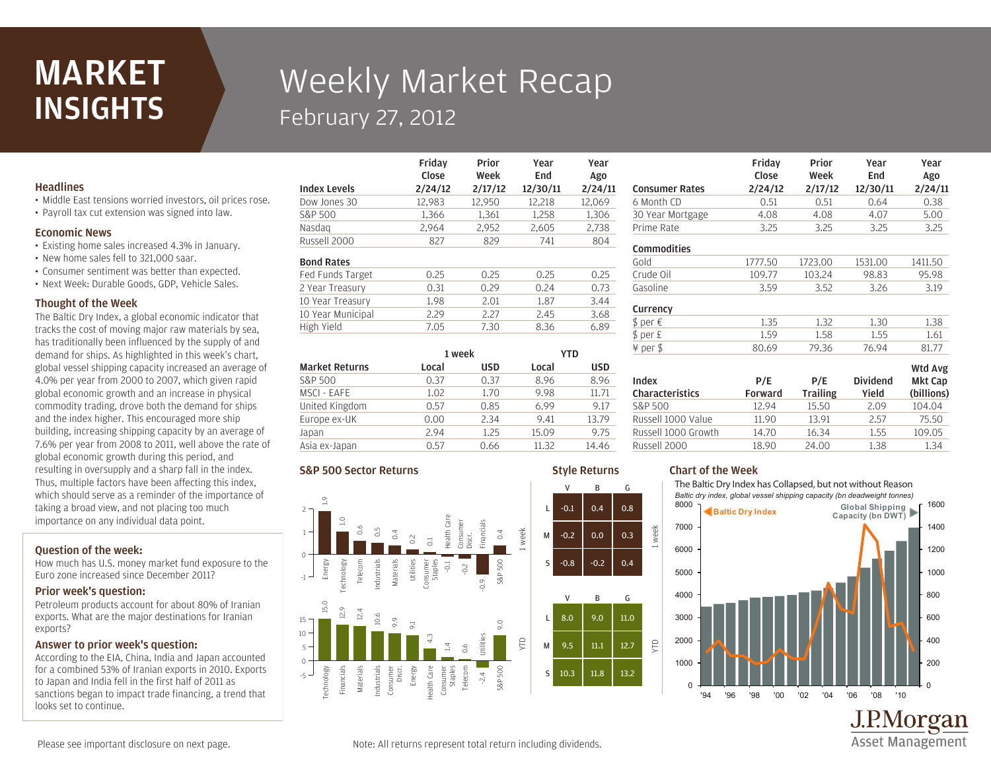## MARKET **INSIGHTS**

# Weekly Market Recap February 27, 2012

Friday

#### **Headlines**

- Middle East tensions worried investors, oil prices rose.
- Payroll tax cut extension was signed into law.

#### Economic News

- Existing home sales increased 4.3% in January.
- New home sales fell to 321,000 saar.
- Consumer sentiment was better than expected.
- Next Week: Durable Goods, GDP, Vehicle Sales.

#### Thought of the Week

The Baltic Dry Index, a global economic indicator that tracks the cost of moving major raw materials by sea, has traditionally been influenced by the supply of and demand for ships. As highlighted in this week's chart, global vessel shipping capacity increased an average of 4.0% per year from 2000 to 2007, which given rapid global economic growth and an increase in physical commodity trading, drove both the demand for ships and the index higher. This encouraged more ship building, increasing shipping capacity by an average of 7.6% per year from 2008 to 2011, well above the rate of global economic growth during this period, and resulting in oversupply and a sharp fall in the index. Thus, multiple factors have been affecting this index, which should serve as a reminder of the importance of taking a broad view, and not placing too much importance on any individual data point.

#### Question of the week:

How much has U.S. money market fund exposure to the Euro zone increased since December 2011?

#### Prior week's question:

Petroleum products account for about 80% of Iranian exports. What are the major destinations for Iranian exports?

#### Answer to prior week's question:

According to the EIA, China, India and Japan accounted for a combined 53% of Iranian exports in 2010. Exports to Japan and India fell in the first half of 2011 as sanctions began to impact trade financing, a trend that looks set to continue.

|                     | Close   | Week    | End      | Ago     |
|---------------------|---------|---------|----------|---------|
| <b>Index Levels</b> | 2/24/12 | 2/17/12 | 12/30/11 | 2/24/11 |
| Dow Jones 30        | 12,983  | 12,950  | 12,218   | 12,069  |
| S&P 500             | 1,366   | 1,361   | 1,258    | 1,306   |
| Nasdag              | 2,964   | 2,952   | 2,605    | 2,738   |
| Russell 2000        | 827     | 829     | 741      | 804     |
| <b>Bond Rates</b>   |         |         |          |         |
| Fed Funds Target    | 0.25    | 0.25    | 0.25     | 0.25    |
| 2 Year Treasury     | 0.31    | 0.29    | 0.24     | 0.73    |
| 10 Year Treasury    | 1.98    | 2.01    | 1.87     | 3.44    |
| 10 Year Municipal   | 2.29    | 2.27    | 2.45     | 3.68    |
| High Yield          | 7.05    | 7.30    | 8.36     | 6.89    |
|                     |         |         |          |         |

Prior

Year

Year

Style Returns

|                       | 1 week |            | YTD   |            |
|-----------------------|--------|------------|-------|------------|
| <b>Market Returns</b> | Local  | <b>USD</b> | Local | <b>USD</b> |
| S&P 500               | 0.37   | 0.37       | 8.96  | 8.96       |
| MSCI - EAFE           | 1.02   | 1.70       | 9.98  | 11.71      |
| United Kingdom        | 0.57   | 0.85       | 6.99  | 9.17       |
| Europe ex-UK          | 0.00   | 2.34       | 9.41  | 13.79      |
| Japan                 | 2.94   | 1.25       | 15.09 | 9.75       |
| Asia ex-Japan         | ი 57   | 0.66       | 11.32 | 14.46      |

#### S&P 500 Sector Returns



| <b>Consumer Rates</b> | Close<br>2/24/12 | Week<br>2/17/12 | End<br>12/30/11 | Ago<br>2/24/11 |
|-----------------------|------------------|-----------------|-----------------|----------------|
| 6 Month CD            | 0.51             | 0.51            | 0.64            | 0.38           |
| 30 Year Mortgage      | 4.08             | 4.08            | 4.07            | 5.00           |
| Prime Rate            | 3.25             | 3.25            | 3.25            | 3.25           |
| Commodities           |                  |                 |                 |                |
| Gold                  | 1777.50          | 1723.00         | 1531.00         | 1411.50        |
| Crude Oil             | 109.77           | 103.24          | 98.83           | 95.98          |
| Gasoline              | 3.59             | 3.52            | 3.26            | 3.19           |
| Currency              |                  |                 |                 |                |
| \$ per €              | 1.35             | 1.32            | 1.30            | 1.38           |
| \$ per £              | 1.59             | 1.58            | 1.55            | 1.61           |
| ¥ per \$              | 80.69            | 79.36           | 76.94           | 81.77          |
|                       |                  |                 |                 | Wtd Avg        |

Prior

Year

Year  $A \sim$ 

Friday

| <b>Mkt Cap</b><br><b>Dividend</b><br>P/E<br>(billions)<br><b>Trailing</b><br>Yield |
|------------------------------------------------------------------------------------|
| 104.04<br>15.50<br>2.09                                                            |
| 13.91<br>2.57<br>75.50                                                             |
| 109.05<br>16.34<br>1.55                                                            |
| 24.00<br>1.38<br>1.34                                                              |
|                                                                                    |

### Chart of the Week

week

YTD

The Baltic Dry Index has Collapsed, but not without Reason *Baltic dry index, global vessel shipping capacity (bn deadweight tonnes)*



J.P.Morgan **Asset Management** 

Please see important disclosure on next page.